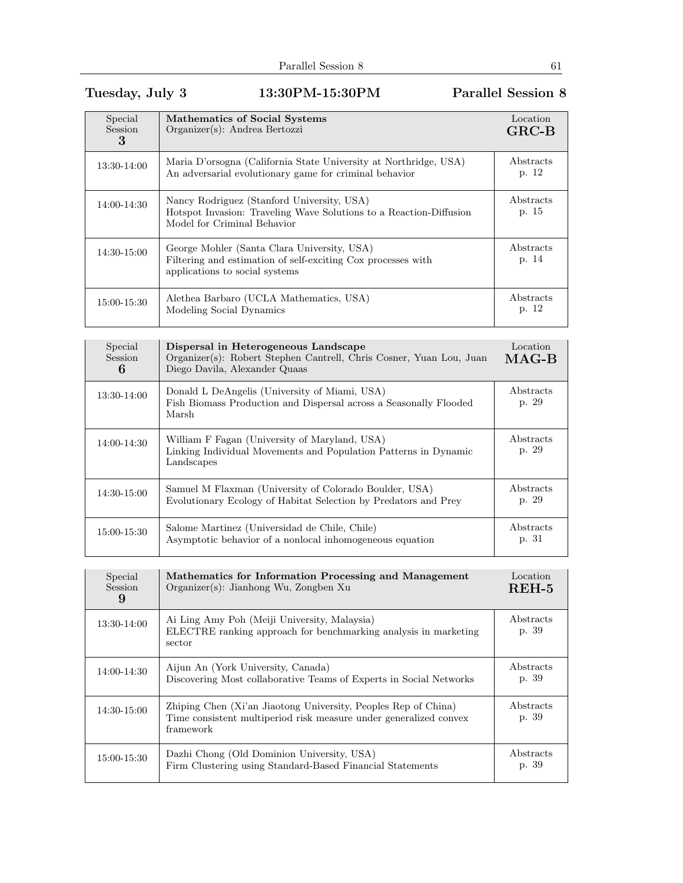## Tuesday, July 3 13:30PM-15:30PM Parallel Session 8

| Special<br><b>Session</b><br>3 | Mathematics of Social Systems<br>Organizer(s): Andrea Bertozzi                                                                                  | Location<br>$GRC-B$ |
|--------------------------------|-------------------------------------------------------------------------------------------------------------------------------------------------|---------------------|
| 13:30-14:00                    | Maria D'orsogna (California State University at Northridge, USA)<br>An adversarial evolutionary game for criminal behavior                      | Abstracts<br>p. 12  |
| 14:00-14:30                    | Nancy Rodriguez (Stanford University, USA)<br>Hotspot Invasion: Traveling Wave Solutions to a Reaction-Diffusion<br>Model for Criminal Behavior | Abstracts<br>p. 15  |
| 14:30-15:00                    | George Mohler (Santa Clara University, USA)<br>Filtering and estimation of self-exciting Cox processes with<br>applications to social systems   | Abstracts<br>p. 14  |
| 15:00-15:30                    | Alethea Barbaro (UCLA Mathematics, USA)<br>Modeling Social Dynamics                                                                             | Abstracts<br>p. 12  |

| Special<br><b>Session</b><br>6 | Dispersal in Heterogeneous Landscape<br>Organizer(s): Robert Stephen Cantrell, Chris Cosner, Yuan Lou, Juan<br>Diego Davila, Alexander Quaas | Location<br>$MAG-B$ |
|--------------------------------|----------------------------------------------------------------------------------------------------------------------------------------------|---------------------|
| 13:30-14:00                    | Donald L DeAngelis (University of Miami, USA)<br>Fish Biomass Production and Dispersal across a Seasonally Flooded<br>Marsh                  | Abstracts<br>p. 29  |
| 14:00-14:30                    | William F Fagan (University of Maryland, USA)<br>Linking Individual Movements and Population Patterns in Dynamic<br>Landscapes               | Abstracts<br>p. 29  |
| 14:30-15:00                    | Samuel M Flaxman (University of Colorado Boulder, USA)<br>Evolutionary Ecology of Habitat Selection by Predators and Prey                    | Abstracts<br>p. 29  |
| 15:00-15:30                    | Salome Martinez (Universidad de Chile, Chile)<br>Asymptotic behavior of a nonlocal inhomogeneous equation                                    | Abstracts<br>p. 31  |

| Special<br><b>Session</b><br>9 | Mathematics for Information Processing and Management<br>Organizer(s): Jianhong Wu, Zongben Xu                                                   | Location<br>$REH-5$ |
|--------------------------------|--------------------------------------------------------------------------------------------------------------------------------------------------|---------------------|
| 13:30-14:00                    | Ai Ling Amy Poh (Meiji University, Malaysia)<br>ELECTRE ranking approach for benchmarking analysis in marketing<br>sector                        | Abstracts<br>p. 39  |
| 14:00-14:30                    | Aijun An (York University, Canada)<br>Discovering Most collaborative Teams of Experts in Social Networks                                         | Abstracts<br>p. 39  |
| $14:30-15:00$                  | Zhiping Chen (Xi'an Jiaotong University, Peoples Rep of China)<br>Time consistent multiperiod risk measure under generalized convex<br>framework | Abstracts<br>p. 39  |
| 15:00-15:30                    | Dazhi Chong (Old Dominion University, USA)<br>Firm Clustering using Standard-Based Financial Statements                                          | Abstracts<br>p. 39  |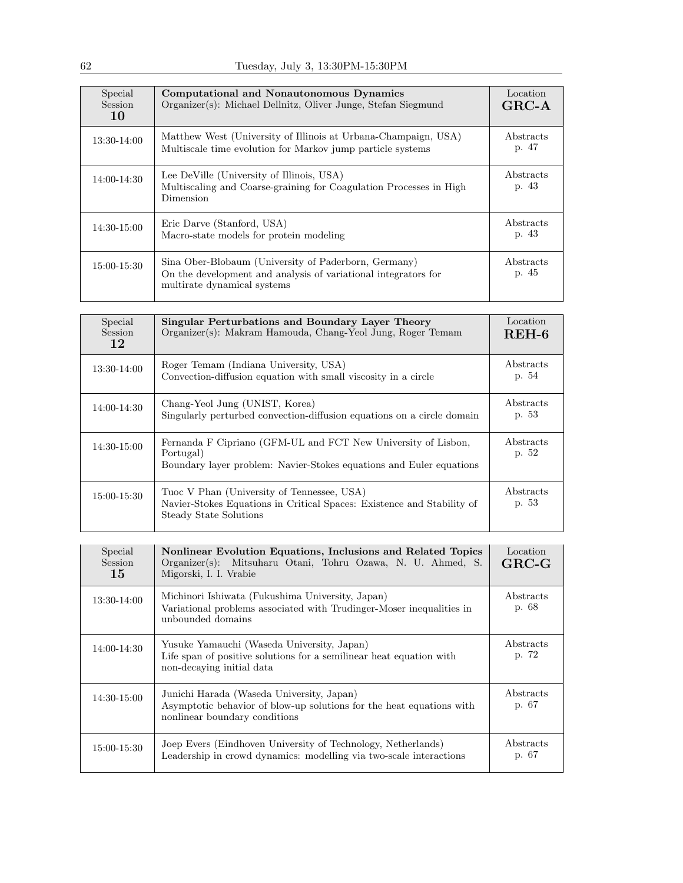| Special<br><b>Session</b><br>10 | Computational and Nonautonomous Dynamics<br>Organizer(s): Michael Dellnitz, Oliver Junge, Stefan Siegmund                                             | Location<br>$GRC-A$ |
|---------------------------------|-------------------------------------------------------------------------------------------------------------------------------------------------------|---------------------|
| 13:30-14:00                     | Matthew West (University of Illinois at Urbana-Champaign, USA)<br>Multiscale time evolution for Markov jump particle systems                          | Abstracts<br>p. 47  |
| 14:00-14:30                     | Lee DeVille (University of Illinois, USA)<br>Multiscaling and Coarse-graining for Coagulation Processes in High<br>Dimension                          | Abstracts<br>p. 43  |
| 14:30-15:00                     | Eric Darve (Stanford, USA)<br>Macro-state models for protein modeling                                                                                 | Abstracts<br>p. 43  |
| 15:00-15:30                     | Sina Ober-Blobaum (University of Paderborn, Germany)<br>On the development and analysis of variational integrators for<br>multirate dynamical systems | Abstracts<br>p. 45  |

| Special<br>Session<br>12 | Singular Perturbations and Boundary Layer Theory<br>Organizer(s): Makram Hamouda, Chang-Yeol Jung, Roger Temam                                    | Location<br>$REH-6$ |
|--------------------------|---------------------------------------------------------------------------------------------------------------------------------------------------|---------------------|
| 13:30-14:00              | Roger Temam (Indiana University, USA)<br>Convection-diffusion equation with small viscosity in a circle                                           | Abstracts<br>p. 54  |
| 14:00-14:30              | Chang-Yeol Jung (UNIST, Korea)<br>Singularly perturbed convection-diffusion equations on a circle domain                                          | Abstracts<br>p. 53  |
| 14:30-15:00              | Fernanda F Cipriano (GFM-UL and FCT New University of Lisbon,<br>Portugal)<br>Boundary layer problem: Navier-Stokes equations and Euler equations | Abstracts<br>p. 52  |
| 15:00-15:30              | Tuoc V Phan (University of Tennessee, USA)<br>Navier-Stokes Equations in Critical Spaces: Existence and Stability of<br>Steady State Solutions    | Abstracts<br>p. 53  |

| Special<br>Session<br>15 | Nonlinear Evolution Equations, Inclusions and Related Topics<br>Organizer(s): Mitsuharu Otani, Tohru Ozawa, N. U. Ahmed, S.<br>Migorski, I. I. Vrabie | Location<br>$GRC-G$ |
|--------------------------|-------------------------------------------------------------------------------------------------------------------------------------------------------|---------------------|
| 13:30-14:00              | Michinori Ishiwata (Fukushima University, Japan)<br>Variational problems associated with Trudinger-Moser inequalities in<br>unbounded domains         | Abstracts<br>p. 68  |
| 14:00-14:30              | Yusuke Yamauchi (Waseda University, Japan)<br>Life span of positive solutions for a semilinear heat equation with<br>non-decaying initial data        | Abstracts<br>p. 72  |
| 14:30-15:00              | Junichi Harada (Waseda University, Japan)<br>Asymptotic behavior of blow-up solutions for the heat equations with<br>nonlinear boundary conditions    | Abstracts<br>p. 67  |
| 15:00-15:30              | Joep Evers (Eindhoven University of Technology, Netherlands)<br>Leadership in crowd dynamics: modelling via two-scale interactions                    | Abstracts<br>p. 67  |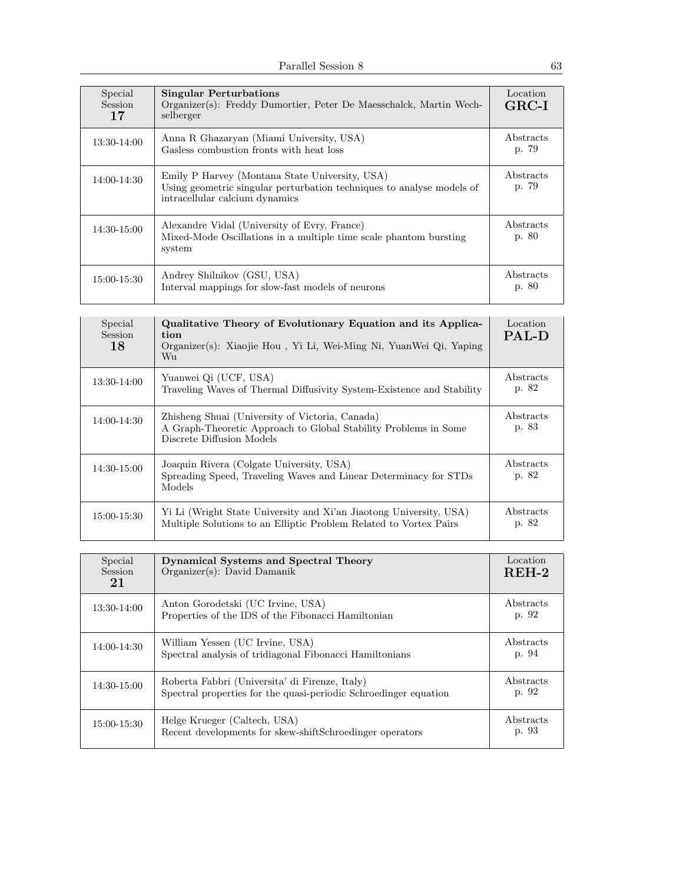| Special<br><b>Session</b><br>17 | <b>Singular Perturbations</b><br>Organizer(s): Freddy Dumortier, Peter De Maesschalck, Martin Wech-<br>selberger                                          | Location<br>$GRC-I$ |
|---------------------------------|-----------------------------------------------------------------------------------------------------------------------------------------------------------|---------------------|
| 13:30-14:00                     | Anna R Ghazaryan (Miami University, USA)<br>Gasless combustion fronts with heat loss                                                                      | Abstracts<br>p. 79  |
| 14:00-14:30                     | Emily P Harvey (Montana State University, USA)<br>Using geometric singular perturbation techniques to analyse models of<br>intracellular calcium dynamics | Abstracts<br>p. 79  |
| 14:30-15:00                     | Alexandre Vidal (University of Evry, France)<br>Mixed-Mode Oscillations in a multiple time scale phantom bursting<br>system                               | Abstracts<br>p. 80  |
| 15:00-15:30                     | Andrey Shilnikov (GSU, USA)<br>Interval mappings for slow-fast models of neurons                                                                          | Abstracts<br>p. 80  |

| Special<br><b>Session</b><br>18 | Qualitative Theory of Evolutionary Equation and its Applica-<br>tion<br>Organizer(s): Xiaojie Hou, Yi Li, Wei-Ming Ni, YuanWei Qi, Yaping<br>Wu | Location<br><b>PAL-D</b> |
|---------------------------------|-------------------------------------------------------------------------------------------------------------------------------------------------|--------------------------|
| 13:30-14:00                     | Yuanwei Qi (UCF, USA)<br>Traveling Waves of Thermal Diffusivity System-Existence and Stability                                                  | Abstracts<br>p. 82       |
| 14:00-14:30                     | Zhisheng Shuai (University of Victoria, Canada)<br>A Graph-Theoretic Approach to Global Stability Problems in Some<br>Discrete Diffusion Models | Abstracts<br>p. 83       |
| 14:30-15:00                     | Joaquin Rivera (Colgate University, USA)<br>Spreading Speed, Traveling Waves and Linear Determinacy for STDs<br>Models                          | Abstracts<br>p. 82       |
| 15:00-15:30                     | Yi Li (Wright State University and Xi'an Jiaotong University, USA)<br>Multiple Solutions to an Elliptic Problem Related to Vortex Pairs         | Abstracts<br>p. 82       |

| Special<br><b>Session</b><br>21 | <b>Dynamical Systems and Spectral Theory</b><br>Organizer(s): David Damanik                                        | Location<br>$REH-2$ |
|---------------------------------|--------------------------------------------------------------------------------------------------------------------|---------------------|
| 13:30-14:00                     | Anton Gorodetski (UC Irvine, USA)<br>Properties of the IDS of the Fibonacci Hamiltonian                            | Abstracts<br>p. 92  |
| 14:00-14:30                     | William Yessen (UC Irvine, USA)<br>Spectral analysis of tridiagonal Fibonacci Hamiltonians                         | Abstracts<br>p. 94  |
| $14:30-15:00$                   | Roberta Fabbri (Universita' di Firenze, Italy)<br>Spectral properties for the quasi-periodic Schroedinger equation | Abstracts<br>p. 92  |
| $15:00 - 15:30$                 | Helge Krueger (Caltech, USA)<br>Recent developments for skew-shiftSchroedinger operators                           | Abstracts<br>p. 93  |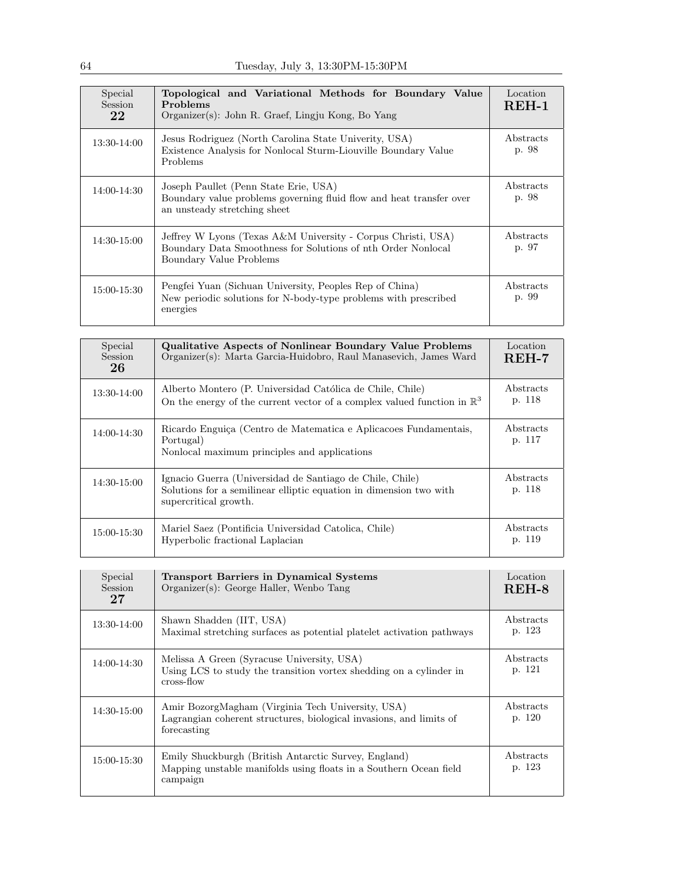| Special<br><b>Session</b><br>22 | Topological and Variational Methods for Boundary Value<br>Problems<br>Organizer(s): John R. Graef, Lingju Kong, Bo Yang                                 | Location<br>$REH-1$ |
|---------------------------------|---------------------------------------------------------------------------------------------------------------------------------------------------------|---------------------|
| 13:30-14:00                     | Jesus Rodriguez (North Carolina State Univerity, USA)<br>Existence Analysis for Nonlocal Sturm-Liouville Boundary Value<br>Problems                     | Abstracts<br>p. 98  |
| 14:00-14:30                     | Joseph Paullet (Penn State Erie, USA)<br>Boundary value problems governing fluid flow and heat transfer over<br>an unsteady stretching sheet            | Abstracts<br>p. 98  |
| 14:30-15:00                     | Jeffrey W Lyons (Texas A&M University - Corpus Christi, USA)<br>Boundary Data Smoothness for Solutions of nth Order Nonlocal<br>Boundary Value Problems | Abstracts<br>p. 97  |
| 15:00-15:30                     | Pengfei Yuan (Sichuan University, Peoples Rep of China)<br>New periodic solutions for N-body-type problems with prescribed<br>energies                  | Abstracts<br>p. 99  |

| Special<br>Session<br>26 | <b>Qualitative Aspects of Nonlinear Boundary Value Problems</b><br>Organizer(s): Marta Garcia-Huidobro, Raul Manasevich, James Ward                     | Location<br>$REH-7$ |
|--------------------------|---------------------------------------------------------------------------------------------------------------------------------------------------------|---------------------|
| 13:30-14:00              | Alberto Montero (P. Universidad Católica de Chile, Chile)<br>On the energy of the current vector of a complex valued function in $\mathbb{R}^3$         | Abstracts<br>p. 118 |
| 14:00-14:30              | Ricardo Enguiça (Centro de Matematica e Aplicacoes Fundamentais,<br>Portugal)<br>Nonlocal maximum principles and applications                           | Abstracts<br>p. 117 |
| $14:30-15:00$            | Ignacio Guerra (Universidad de Santiago de Chile, Chile)<br>Solutions for a semilinear elliptic equation in dimension two with<br>supercritical growth. | Abstracts<br>p. 118 |
| 15:00-15:30              | Mariel Saez (Pontificia Universidad Catolica, Chile)<br>Hyperbolic fractional Laplacian                                                                 | Abstracts<br>p. 119 |

| Special<br>Session<br>27 | <b>Transport Barriers in Dynamical Systems</b><br>Organizer(s): George Haller, Wenbo Tang                                               | Location<br>REH-8   |
|--------------------------|-----------------------------------------------------------------------------------------------------------------------------------------|---------------------|
| 13:30-14:00              | Shawn Shadden (IIT, USA)<br>Maximal stretching surfaces as potential plate let activation pathways                                      | Abstracts<br>p. 123 |
| 14:00-14:30              | Melissa A Green (Syracuse University, USA)<br>Using LCS to study the transition vortex shedding on a cylinder in<br>cross-flow          | Abstracts<br>p. 121 |
| 14:30-15:00              | Amir BozorgMagham (Virginia Tech University, USA)<br>Lagrangian coherent structures, biological invasions, and limits of<br>forecasting | Abstracts<br>p. 120 |
| 15:00-15:30              | Emily Shuckburgh (British Antarctic Survey, England)<br>Mapping unstable manifolds using floats in a Southern Ocean field<br>campaign   | Abstracts<br>p. 123 |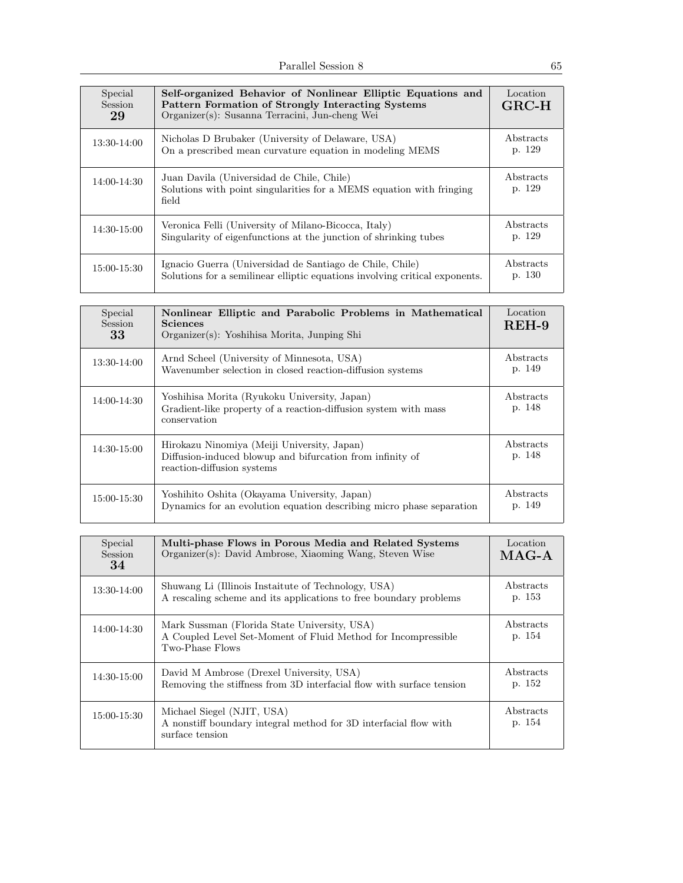| Special<br>Session<br>29 | Self-organized Behavior of Nonlinear Elliptic Equations and<br>Pattern Formation of Strongly Interacting Systems<br>Organizer(s): Susanna Terracini, Jun-cheng Wei | Location<br>$GRC-H$ |
|--------------------------|--------------------------------------------------------------------------------------------------------------------------------------------------------------------|---------------------|
| 13:30-14:00              | Nicholas D Brubaker (University of Delaware, USA)<br>On a prescribed mean curvature equation in modeling MEMS                                                      | Abstracts<br>p. 129 |
| 14:00-14:30              | Juan Davila (Universidad de Chile, Chile)<br>Solutions with point singularities for a MEMS equation with fringing<br>field                                         | Abstracts<br>p. 129 |
| 14:30-15:00              | Veronica Felli (University of Milano-Bicocca, Italy)<br>Singularity of eigenfunctions at the junction of shrinking tubes                                           | Abstracts<br>p. 129 |
| 15:00-15:30              | Ignacio Guerra (Universidad de Santiago de Chile, Chile)<br>Solutions for a semilinear elliptic equations involving critical exponents.                            | Abstracts<br>p. 130 |

| Special<br><b>Session</b><br>33 | Nonlinear Elliptic and Parabolic Problems in Mathematical<br><b>Sciences</b><br>Organizer(s): Yoshihisa Morita, Junping Shi            | Location<br>$REH-9$ |
|---------------------------------|----------------------------------------------------------------------------------------------------------------------------------------|---------------------|
| 13:30-14:00                     | Arnd Scheel (University of Minnesota, USA)<br>Wavenumber selection in closed reaction-diffusion systems                                | Abstracts<br>p. 149 |
| 14:00-14:30                     | Yoshihisa Morita (Ryukoku University, Japan)<br>Gradient-like property of a reaction-diffusion system with mass<br>conservation        | Abstracts<br>p. 148 |
| $14:30-15:00$                   | Hirokazu Ninomiya (Meiji University, Japan)<br>Diffusion-induced blowup and bifurcation from infinity of<br>reaction-diffusion systems | Abstracts<br>p. 148 |
| 15:00-15:30                     | Yoshihito Oshita (Okayama University, Japan)<br>Dynamics for an evolution equation describing micro phase separation                   | Abstracts<br>p. 149 |

| Special<br><b>Session</b><br>34 | Multi-phase Flows in Porous Media and Related Systems<br>Organizer(s): David Ambrose, Xiaoming Wang, Steven Wise                 | Location<br>$MAG-A$ |
|---------------------------------|----------------------------------------------------------------------------------------------------------------------------------|---------------------|
| 13:30-14:00                     | Shuwang Li (Illinois Instaitute of Technology, USA)<br>A rescaling scheme and its applications to free boundary problems         | Abstracts<br>p. 153 |
| 14:00-14:30                     | Mark Sussman (Florida State University, USA)<br>A Coupled Level Set-Moment of Fluid Method for Incompressible<br>Two-Phase Flows | Abstracts<br>p. 154 |
| 14:30-15:00                     | David M Ambrose (Drexel University, USA)<br>Removing the stiffness from 3D interfacial flow with surface tension                 | Abstracts<br>p. 152 |
| 15:00-15:30                     | Michael Siegel (NJIT, USA)<br>A nonstiff boundary integral method for 3D interfacial flow with<br>surface tension                | Abstracts<br>p. 154 |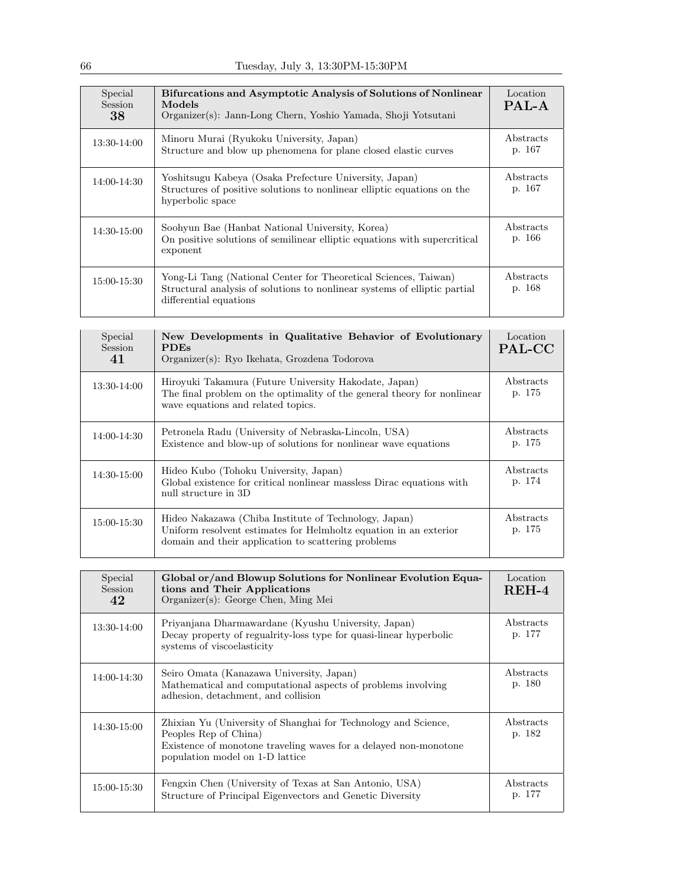| Special<br><b>Session</b><br>38 | <b>Bifurcations and Asymptotic Analysis of Solutions of Nonlinear</b><br>Models<br>Organizer(s): Jann-Long Chern, Yoshio Yamada, Shoji Yotsutani                       | Location<br>PAL-A   |
|---------------------------------|------------------------------------------------------------------------------------------------------------------------------------------------------------------------|---------------------|
| 13:30-14:00                     | Minoru Murai (Ryukoku University, Japan)<br>Structure and blow up phenomena for plane closed elastic curves                                                            | Abstracts<br>p. 167 |
| 14:00-14:30                     | Yoshitsugu Kabeya (Osaka Prefecture University, Japan)<br>Structures of positive solutions to nonlinear elliptic equations on the<br>hyperbolic space                  | Abstracts<br>p. 167 |
| 14:30-15:00                     | Soohyun Bae (Hanbat National University, Korea)<br>On positive solutions of semilinear elliptic equations with supercritical<br>exponent                               | Abstracts<br>p. 166 |
| 15:00-15:30                     | Yong-Li Tang (National Center for Theoretical Sciences, Taiwan)<br>Structural analysis of solutions to nonlinear systems of elliptic partial<br>differential equations | Abstracts<br>p. 168 |

| Special<br><b>Session</b><br>41 | New Developments in Qualitative Behavior of Evolutionary<br><b>PDEs</b><br>Organizer(s): Ryo Ikehata, Grozdena Todorova                                                           | Location<br>PAL-CC  |
|---------------------------------|-----------------------------------------------------------------------------------------------------------------------------------------------------------------------------------|---------------------|
| 13:30-14:00                     | Hiroyuki Takamura (Future University Hakodate, Japan)<br>The final problem on the optimality of the general theory for nonlinear<br>wave equations and related topics.            | Abstracts<br>p. 175 |
| 14:00-14:30                     | Petronela Radu (University of Nebraska-Lincoln, USA)<br>Existence and blow-up of solutions for nonlinear wave equations                                                           | Abstracts<br>p. 175 |
| 14:30-15:00                     | Hideo Kubo (Tohoku University, Japan)<br>Global existence for critical nonlinear massless Dirac equations with<br>null structure in 3D                                            | Abstracts<br>p. 174 |
| 15:00-15:30                     | Hideo Nakazawa (Chiba Institute of Technology, Japan)<br>Uniform resolvent estimates for Helmholtz equation in an exterior<br>domain and their application to scattering problems | Abstracts<br>p. 175 |

| Special<br>Session<br>42 | Global or/and Blowup Solutions for Nonlinear Evolution Equa-<br>tions and Their Applications<br>Organizer(s): George Chen, Ming Mei                                                            | Location<br>$REH-4$ |
|--------------------------|------------------------------------------------------------------------------------------------------------------------------------------------------------------------------------------------|---------------------|
| 13:30-14:00              | Priyanjana Dharmawardane (Kyushu University, Japan)<br>Decay property of regualrity-loss type for quasi-linear hyperbolic<br>systems of viscoelasticity                                        | Abstracts<br>p. 177 |
| 14:00-14:30              | Seiro Omata (Kanazawa University, Japan)<br>Mathematical and computational aspects of problems involving<br>adhesion, detachment, and collision                                                | Abstracts<br>p. 180 |
| 14:30-15:00              | Zhixian Yu (University of Shanghai for Technology and Science,<br>Peoples Rep of China)<br>Existence of monotone traveling waves for a delayed non-monotone<br>population model on 1-D lattice | Abstracts<br>p. 182 |
| 15:00-15:30              | Fengxin Chen (University of Texas at San Antonio, USA)<br>Structure of Principal Eigenvectors and Genetic Diversity                                                                            | Abstracts<br>p. 177 |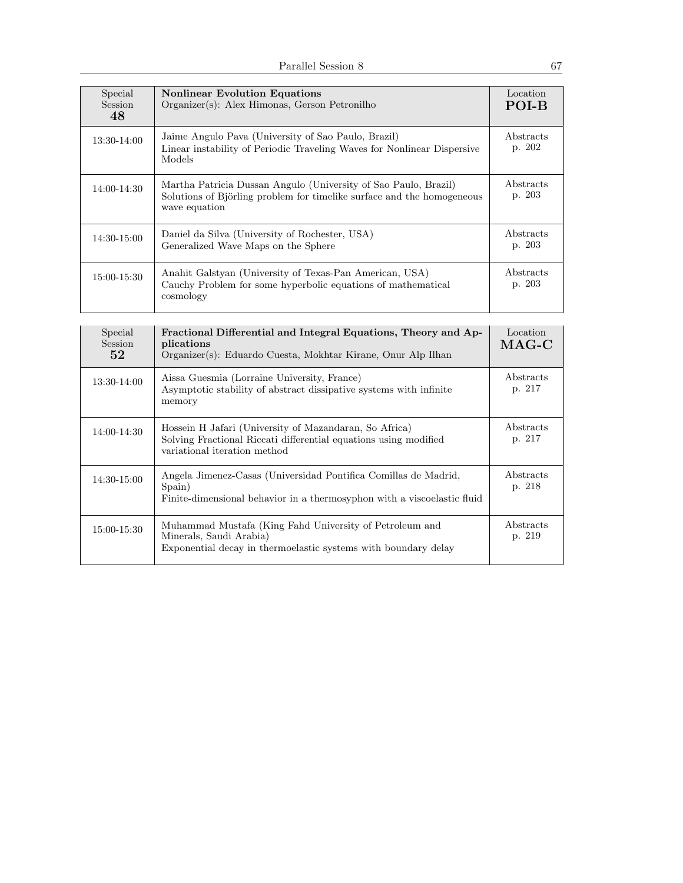| Special<br><b>Session</b><br>48 | <b>Nonlinear Evolution Equations</b><br>Organizer(s): Alex Himonas, Gerson Petronilho                                                                      | Location<br>POI-B   |
|---------------------------------|------------------------------------------------------------------------------------------------------------------------------------------------------------|---------------------|
| 13:30-14:00                     | Jaime Angulo Pava (University of Sao Paulo, Brazil)<br>Linear instability of Periodic Traveling Waves for Nonlinear Dispersive<br>Models                   | Abstracts<br>p. 202 |
| 14:00-14:30                     | Martha Patricia Dussan Angulo (University of Sao Paulo, Brazil)<br>Solutions of Björling problem for timelike surface and the homogeneous<br>wave equation | Abstracts<br>p. 203 |
| 14:30-15:00                     | Daniel da Silva (University of Rochester, USA)<br>Generalized Wave Maps on the Sphere                                                                      | Abstracts<br>p. 203 |
| 15:00-15:30                     | Anahit Galstyan (University of Texas-Pan American, USA)<br>Cauchy Problem for some hyperbolic equations of mathematical<br>cosmology                       | Abstracts<br>p. 203 |

| Special<br><b>Session</b><br>52 <sub>1</sub> | Fractional Differential and Integral Equations, Theory and Ap-<br>plications<br>Organizer(s): Eduardo Cuesta, Mokhtar Kirane, Onur Alp Ilhan               | Location<br>$MAG-C$ |
|----------------------------------------------|------------------------------------------------------------------------------------------------------------------------------------------------------------|---------------------|
| $13:30-14:00$                                | Aissa Guesmia (Lorraine University, France)<br>Asymptotic stability of abstract dissipative systems with infinite<br>memory                                | Abstracts<br>p. 217 |
| 14:00-14:30                                  | Hossein H Jafari (University of Mazandaran, So Africa)<br>Solving Fractional Riccati differential equations using modified<br>variational iteration method | Abstracts<br>p. 217 |
| 14:30-15:00                                  | Angela Jimenez-Casas (Universidad Pontifica Comillas de Madrid,<br>Spain)<br>Finite-dimensional behavior in a thermosyphon with a viscoelastic fluid       | Abstracts<br>p. 218 |
| 15:00-15:30                                  | Muhammad Mustafa (King Fahd University of Petroleum and<br>Minerals, Saudi Arabia)<br>Exponential decay in thermoelastic systems with boundary delay       | Abstracts<br>p. 219 |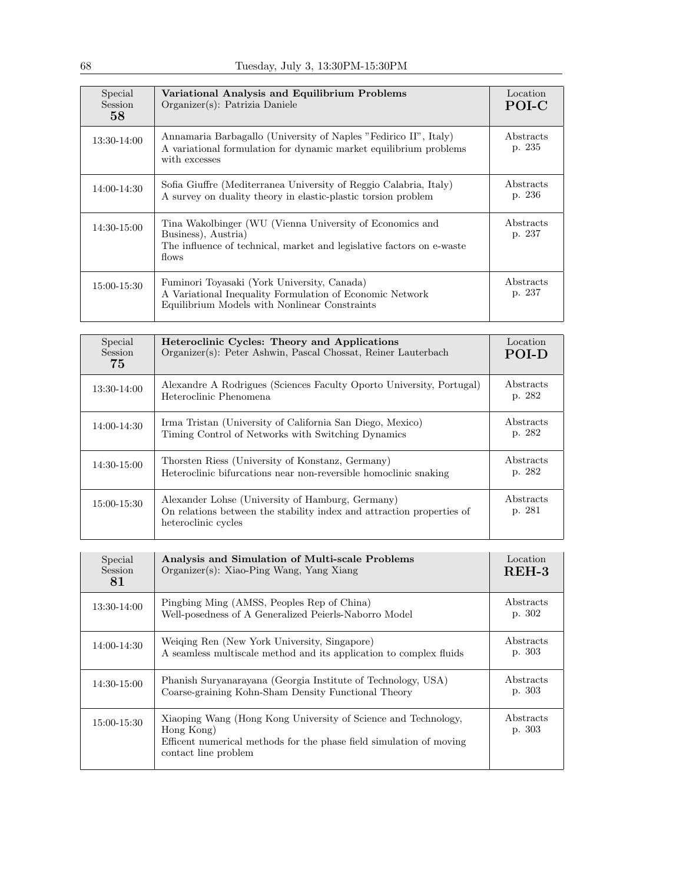| Special<br>Session<br>58 | Variational Analysis and Equilibrium Problems<br>Organizer(s): Patrizia Daniele                                                                                   | Location<br>POI-C   |
|--------------------------|-------------------------------------------------------------------------------------------------------------------------------------------------------------------|---------------------|
| 13:30-14:00              | Annamaria Barbagallo (University of Naples "Fedirico II", Italy)<br>A variational formulation for dynamic market equilibrium problems<br>with excesses            | Abstracts<br>p. 235 |
| 14:00-14:30              | Sofia Giuffre (Mediterranea University of Reggio Calabria, Italy)<br>A survey on duality theory in elastic-plastic torsion problem                                | Abstracts<br>p. 236 |
| $14:30-15:00$            | Tina Wakolbinger (WU (Vienna University of Economics and<br>Business), Austria)<br>The influence of technical, market and legislative factors on e-waste<br>flows | Abstracts<br>p. 237 |
| 15:00-15:30              | Fuminori Toyasaki (York University, Canada)<br>A Variational Inequality Formulation of Economic Network<br>Equilibrium Models with Nonlinear Constraints          | Abstracts<br>p. 237 |

| Special<br>Session<br>75 | Heteroclinic Cycles: Theory and Applications<br>Organizer(s): Peter Ashwin, Pascal Chossat, Reiner Lauterbach                                    | Location<br>POI-D   |
|--------------------------|--------------------------------------------------------------------------------------------------------------------------------------------------|---------------------|
| 13:30-14:00              | Alexandre A Rodrigues (Sciences Faculty Oporto University, Portugal)<br>Heteroclinic Phenomena                                                   | Abstracts<br>p. 282 |
| 14:00-14:30              | Irma Tristan (University of California San Diego, Mexico)<br>Timing Control of Networks with Switching Dynamics                                  | Abstracts<br>p. 282 |
| 14:30-15:00              | Thorsten Riess (University of Konstanz, Germany)<br>Heteroclinic bifurcations near non-reversible homoclinic snaking                             | Abstracts<br>p. 282 |
| 15:00-15:30              | Alexander Lohse (University of Hamburg, Germany)<br>On relations between the stability index and attraction properties of<br>heteroclinic cycles | Abstracts<br>p. 281 |

| Special<br><b>Session</b><br>81 | Analysis and Simulation of Multi-scale Problems<br>Organizer(s): Xiao-Ping Wang, Yang Xiang                                                                                 | Location<br>$REH-3$ |
|---------------------------------|-----------------------------------------------------------------------------------------------------------------------------------------------------------------------------|---------------------|
| 13:30-14:00                     | Pingbing Ming (AMSS, Peoples Rep of China)<br>Well-posedness of A Generalized Peierls-Naborro Model                                                                         | Abstracts<br>p. 302 |
| 14:00-14:30                     | Weiging Ren (New York University, Singapore)<br>A seamless multiscale method and its application to complex fluids                                                          | Abstracts<br>p. 303 |
| 14:30-15:00                     | Phanish Suryanarayana (Georgia Institute of Technology, USA)<br>Coarse-graining Kohn-Sham Density Functional Theory                                                         | Abstracts<br>p. 303 |
| 15:00-15:30                     | Xiaoping Wang (Hong Kong University of Science and Technology,<br>Hong Kong)<br>Efficent numerical methods for the phase field simulation of moving<br>contact line problem | Abstracts<br>p. 303 |